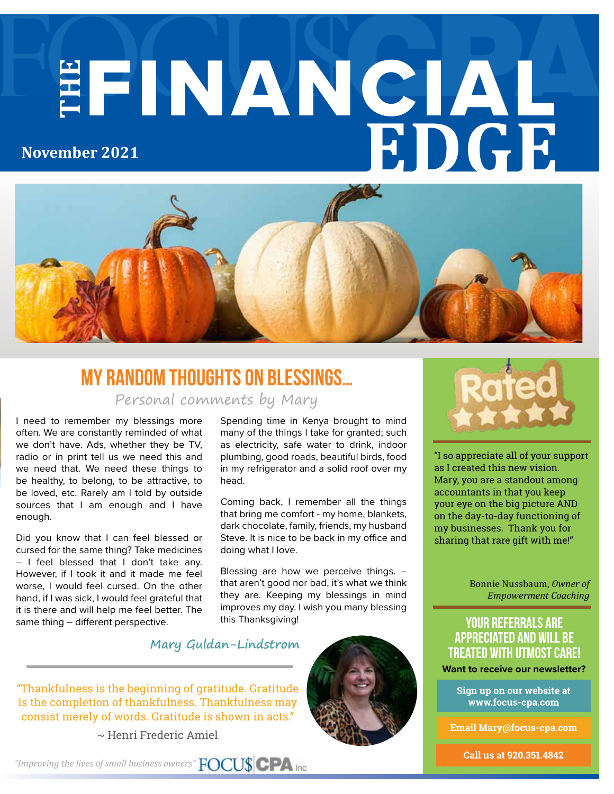# **THE** FINANCIAL **EDGE November 2021**



# **My random Thoughts on Blessings…**

Personal comments by Mary

I need to remember my blessings more often. We are constantly reminded of what we don't have. Ads, whether they be TV, radio or in print tell us we need this and we need that. We need these things to be healthy, to belong, to be attractive, to be loved, etc. Rarely am I told by outside sources that I am enough and I have enough.

Did you know that I can feel blessed or cursed for the same thing? Take medicines – I feel blessed that I don't take any. However, if I took it and it made me feel worse, I would feel cursed. On the other hand, if I was sick, I would feel grateful that it is there and will help me feel better. The same thing – different perspective.

Spending time in Kenya brought to mind many of the things I take for granted; such as electricity, safe water to drink, indoor plumbing, good roads, beautiful birds, food in my refrigerator and a solid roof over my head.

Coming back, I remember all the things that bring me comfort - my home, blankets, dark chocolate, family, friends, my husband Steve. It is nice to be back in my office and doing what I love.

Blessing are how we perceive things. – that aren't good nor bad, it's what we think they are. Keeping my blessings in mind improves my day. I wish you many blessing this Thanksgiving!



"Thankfulness is the beginning of gratitude. Gratitude is the completion of thankfulness. Thankfulness may consist merely of words. Gratitude is shown in acts."

~ Henri Frederic Amiel





"I so appreciate all of your support as I created this new vision. Mary, you are a standout among accountants in that you keep your eye on the big picture AND on the day-to-day functioning of my businesses. Thank you for sharing that rare gift with me!"

> Bonnie Nussbaum, *Owner of Empowerment Coaching*

#### **your referrals are appreciated and will be treated with utmost care!**

**Want to receive our newsletter?**

**Sign up on our website at www.focus-cpa.com**

**Email Mary@focus-cpa.com**

**Call us at 920.351.4842**

*"Improving the lives of small business owners"*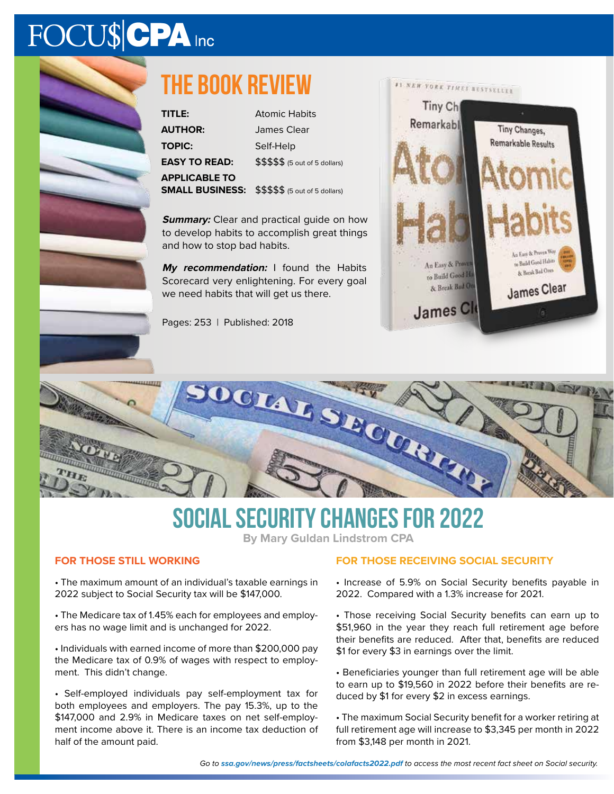# FOCU\$CPA Inc



# **The book review**

| TITLE:                 | <b>Atomic Habits</b>            |
|------------------------|---------------------------------|
| <b>AUTHOR:</b>         | James Clear                     |
| <b>TOPIC:</b>          | Self-Help                       |
| <b>EASY TO READ:</b>   | \$\$\$\$\$ (5 out of 5 dollars) |
| <b>APPLICABLE TO</b>   |                                 |
| <b>SMALL BUSINESS:</b> | \$\$\$\$\$ (5 out of 5 dollars) |

**Summary:** Clear and practical guide on how to develop habits to accomplish great things and how to stop bad habits.

**My recommendation:** I found the Habits Scorecard very enlightening. For every goal we need habits that will get us there.

Pages: 253 | Published: 2018





## **Social Security Changes For 2022**

**By Mary Guldan Lindstrom CPA**

#### **FOR THOSE STILL WORKING**

• The maximum amount of an individual's taxable earnings in 2022 subject to Social Security tax will be \$147,000.

• The Medicare tax of 1.45% each for employees and employers has no wage limit and is unchanged for 2022.

• Individuals with earned income of more than \$200,000 pay the Medicare tax of 0.9% of wages with respect to employment. This didn't change.

• Self-employed individuals pay self-employment tax for both employees and employers. The pay 15.3%, up to the \$147,000 and 2.9% in Medicare taxes on net self-employment income above it. There is an income tax deduction of half of the amount paid.

#### **FOR THOSE RECEIVING SOCIAL SECURITY**

• Increase of 5.9% on Social Security benefits payable in 2022. Compared with a 1.3% increase for 2021.

• Those receiving Social Security benefits can earn up to \$51,960 in the year they reach full retirement age before their benefits are reduced. After that, benefits are reduced \$1 for every \$3 in earnings over the limit.

• Beneficiaries younger than full retirement age will be able to earn up to \$19,560 in 2022 before their benefits are reduced by \$1 for every \$2 in excess earnings.

• The maximum Social Security benefit for a worker retiring at full retirement age will increase to \$3,345 per month in 2022 from \$3,148 per month in 2021.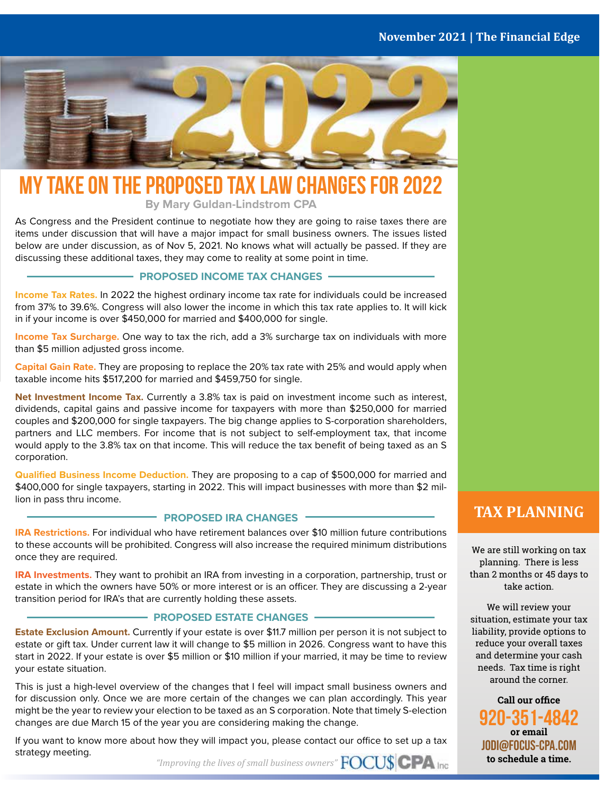#### **November 2021 | The Financial Edge**



### **MY TAKE ON THE PROPOSED TAX LAW CHANGES FOR 2022**

**By Mary Guldan-Lindstrom CPA**

As Congress and the President continue to negotiate how they are going to raise taxes there are items under discussion that will have a major impact for small business owners. The issues listed below are under discussion, as of Nov 5, 2021. No knows what will actually be passed. If they are discussing these additional taxes, they may come to reality at some point in time.

#### **PROPOSED INCOME TAX CHANGES**

**Income Tax Rates.** In 2022 the highest ordinary income tax rate for individuals could be increased from 37% to 39.6%. Congress will also lower the income in which this tax rate applies to. It will kick in if your income is over \$450,000 for married and \$400,000 for single.

**Income Tax Surcharge.** One way to tax the rich, add a 3% surcharge tax on individuals with more than \$5 million adjusted gross income.

**Capital Gain Rate.** They are proposing to replace the 20% tax rate with 25% and would apply when taxable income hits \$517,200 for married and \$459,750 for single.

**Net Investment Income Tax.** Currently a 3.8% tax is paid on investment income such as interest, dividends, capital gains and passive income for taxpayers with more than \$250,000 for married couples and \$200,000 for single taxpayers. The big change applies to S-corporation shareholders, partners and LLC members. For income that is not subject to self-employment tax, that income would apply to the 3.8% tax on that income. This will reduce the tax benefit of being taxed as an S corporation.

**Qualified Business Income Deduction.** They are proposing to a cap of \$500,000 for married and \$400,000 for single taxpayers, starting in 2022. This will impact businesses with more than \$2 million in pass thru income.

#### **PROPOSED IRA CHANGES**

**IRA Restrictions.** For individual who have retirement balances over \$10 million future contributions to these accounts will be prohibited. Congress will also increase the required minimum distributions once they are required.

**IRA Investments.** They want to prohibit an IRA from investing in a corporation, partnership, trust or estate in which the owners have 50% or more interest or is an officer. They are discussing a 2-year transition period for IRA's that are currently holding these assets.

#### **PROPOSED ESTATE CHANGES -**

**Estate Exclusion Amount.** Currently if your estate is over \$11.7 million per person it is not subject to estate or gift tax. Under current law it will change to \$5 million in 2026. Congress want to have this start in 2022. If your estate is over \$5 million or \$10 million if your married, it may be time to review your estate situation.

This is just a high-level overview of the changes that I feel will impact small business owners and for discussion only. Once we are more certain of the changes we can plan accordingly. This year might be the year to review your election to be taxed as an S corporation. Note that timely S-election changes are due March 15 of the year you are considering making the change.

If you want to know more about how they will impact you, please contact our office to set up a tax strategy meeting.

*"Improving the lives of small business owners"*

#### **TAX PLANNING**

We are still working on tax planning. There is less than 2 months or 45 days to take action.

We will review your situation, estimate your tax liability, provide options to reduce your overall taxes and determine your cash needs. Tax time is right around the corner.

**Call our office 920-351-4842 or email JODI@FOCUS-CPA.COM to schedule a time.**